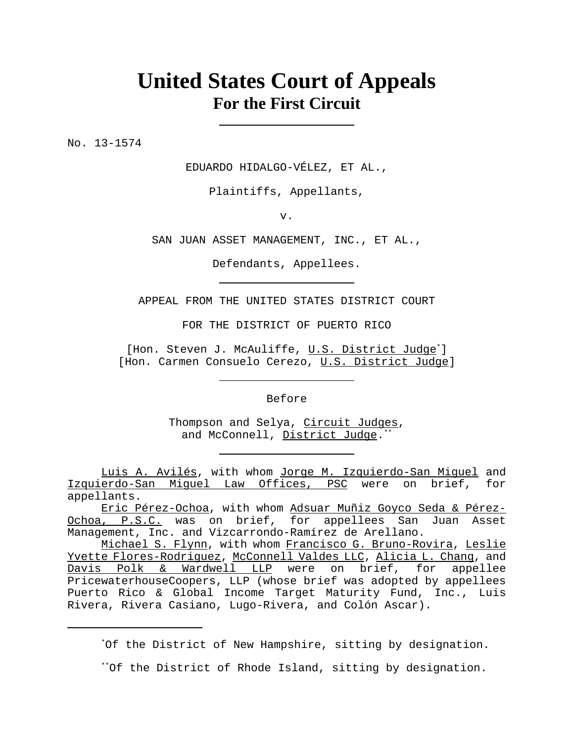# **United States Court of Appeals For the First Circuit**

No. 13-1574

EDUARDO HIDALGO-VÉLEZ, ET AL.,

Plaintiffs, Appellants,

v.

SAN JUAN ASSET MANAGEMENT, INC., ET AL.,

Defendants, Appellees.

APPEAL FROM THE UNITED STATES DISTRICT COURT

FOR THE DISTRICT OF PUERTO RICO

[Hon. Steven J. McAuliffe, U.S. District Judge\*] [Hon. Carmen Consuelo Cerezo, U.S. District Judge]

Before

Thompson and Selya, Circuit Judges, and McConnell, District Judge.\*\*

Luis A. Avilés, with whom Jorge M. Izquierdo-San Miguel and Izquierdo-San Miguel Law Offices, PSC were on brief, for appellants.

Eric Pérez-Ochoa, with whom Adsuar Muñiz Goyco Seda & Pérez-Ochoa, P.S.C. was on brief, for appellees San Juan Asset Management, Inc. and Vizcarrondo-Ramírez de Arellano.

Michael S. Flynn, with whom Francisco G. Bruno-Rovira, Leslie Yvette Flores-Rodriguez, McConnell Valdes LLC, Alicia L. Chang, and Davis Polk & Wardwell LLP were on brief, for appellee PricewaterhouseCoopers, LLP (whose brief was adopted by appellees Puerto Rico & Global Income Target Maturity Fund, Inc., Luis Rivera, Rivera Casiano, Lugo-Rivera, and Colón Ascar).

\* Of the District of New Hampshire, sitting by designation.

<sup>\*\*</sup>Of the District of Rhode Island, sitting by designation.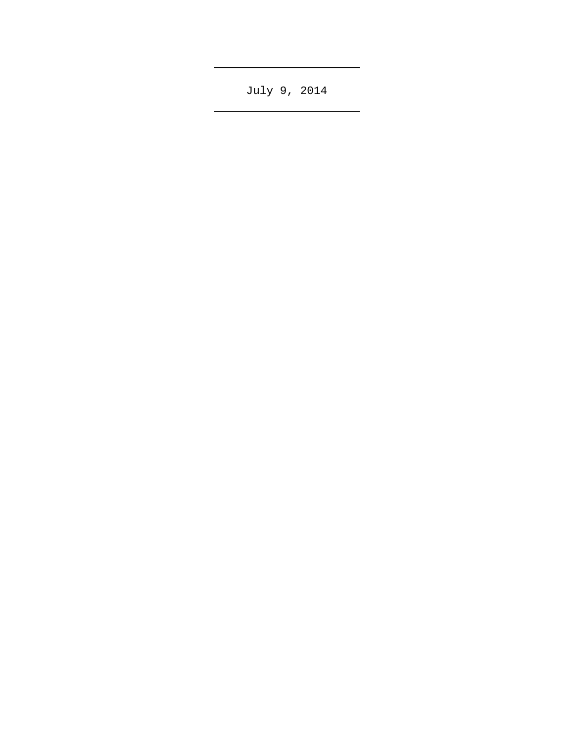July 9, 2014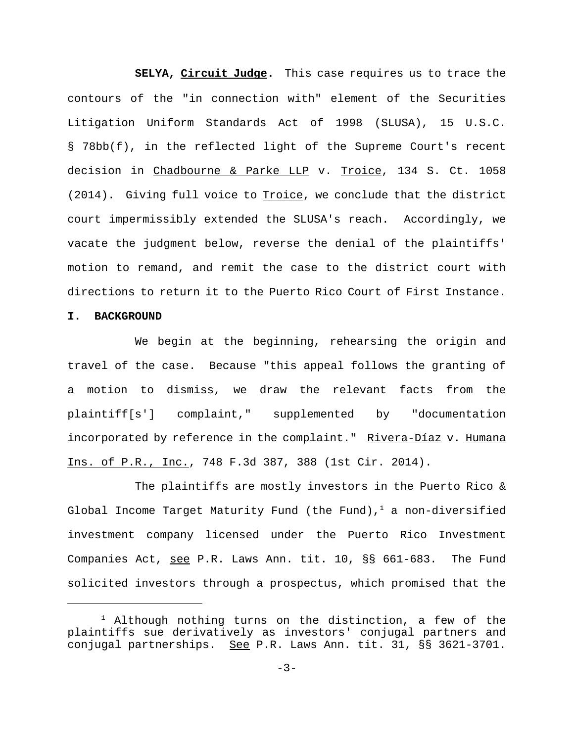**SELYA, Circuit Judge.** This case requires us to trace the contours of the "in connection with" element of the Securities Litigation Uniform Standards Act of 1998 (SLUSA), 15 U.S.C. § 78bb(f), in the reflected light of the Supreme Court's recent decision in Chadbourne & Parke LLP v. Troice, 134 S. Ct. 1058 (2014). Giving full voice to Troice, we conclude that the district court impermissibly extended the SLUSA's reach. Accordingly, we vacate the judgment below, reverse the denial of the plaintiffs' motion to remand, and remit the case to the district court with directions to return it to the Puerto Rico Court of First Instance.

### **I. BACKGROUND**

We begin at the beginning, rehearsing the origin and travel of the case. Because "this appeal follows the granting of a motion to dismiss, we draw the relevant facts from the plaintiff[s'] complaint," supplemented by "documentation incorporated by reference in the complaint." Rivera-Díaz v. Humana Ins. of P.R., Inc., 748 F.3d 387, 388 (1st Cir. 2014).

The plaintiffs are mostly investors in the Puerto Rico & Global Income Target Maturity Fund (the Fund),  $1$  a non-diversified investment company licensed under the Puerto Rico Investment Companies Act, see P.R. Laws Ann. tit. 10, §§ 661-683. The Fund solicited investors through a prospectus, which promised that the

 $1$  Although nothing turns on the distinction, a few of the plaintiffs sue derivatively as investors' conjugal partners and conjugal partnerships. See P.R. Laws Ann. tit. 31, §§ 3621-3701.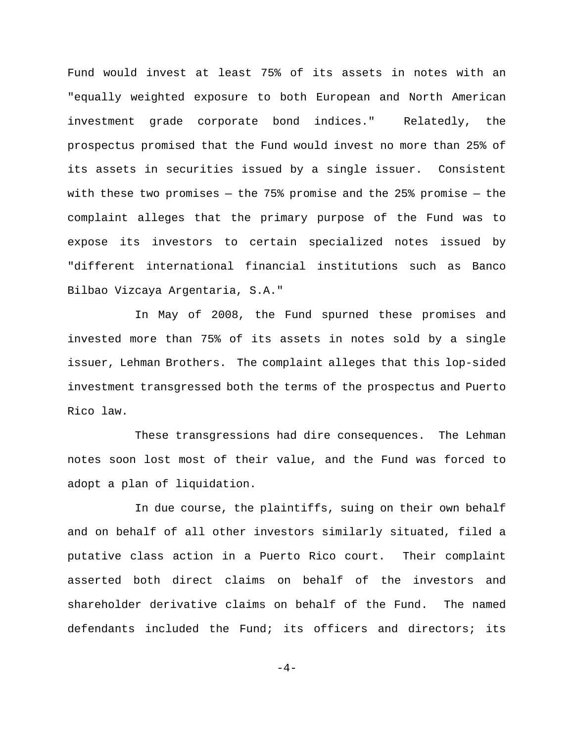Fund would invest at least 75% of its assets in notes with an "equally weighted exposure to both European and North American investment grade corporate bond indices." Relatedly, the prospectus promised that the Fund would invest no more than 25% of its assets in securities issued by a single issuer. Consistent with these two promises  $-$  the 75% promise and the 25% promise  $-$  the complaint alleges that the primary purpose of the Fund was to expose its investors to certain specialized notes issued by "different international financial institutions such as Banco Bilbao Vizcaya Argentaria, S.A."

In May of 2008, the Fund spurned these promises and invested more than 75% of its assets in notes sold by a single issuer, Lehman Brothers. The complaint alleges that this lop-sided investment transgressed both the terms of the prospectus and Puerto Rico law.

These transgressions had dire consequences. The Lehman notes soon lost most of their value, and the Fund was forced to adopt a plan of liquidation.

In due course, the plaintiffs, suing on their own behalf and on behalf of all other investors similarly situated, filed a putative class action in a Puerto Rico court. Their complaint asserted both direct claims on behalf of the investors and shareholder derivative claims on behalf of the Fund. The named defendants included the Fund; its officers and directors; its

 $-4-$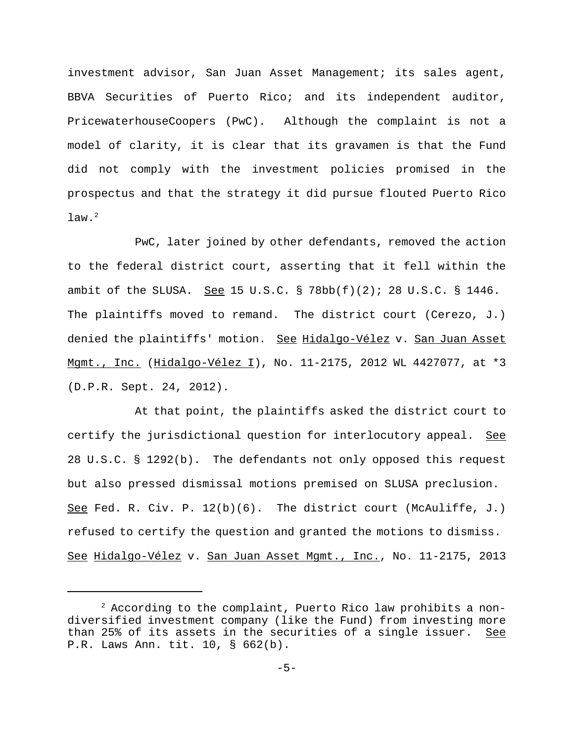investment advisor, San Juan Asset Management; its sales agent, BBVA Securities of Puerto Rico; and its independent auditor, PricewaterhouseCoopers (PwC). Although the complaint is not a model of clarity, it is clear that its gravamen is that the Fund did not comply with the investment policies promised in the prospectus and that the strategy it did pursue flouted Puerto Rico  $law.<sup>2</sup>$ 

PwC, later joined by other defendants, removed the action to the federal district court, asserting that it fell within the ambit of the SLUSA. See 15 U.S.C.  $\S$  78bb(f)(2); 28 U.S.C.  $\S$  1446. The plaintiffs moved to remand. The district court (Cerezo, J.) denied the plaintiffs' motion. See Hidalgo-Vélez v. San Juan Asset Mgmt., Inc. (Hidalgo-Vélez I), No. 11-2175, 2012 WL 4427077, at \*3 (D.P.R. Sept. 24, 2012).

At that point, the plaintiffs asked the district court to certify the jurisdictional question for interlocutory appeal. See 28 U.S.C. § 1292(b). The defendants not only opposed this request but also pressed dismissal motions premised on SLUSA preclusion. See Fed. R. Civ. P.  $12(b)(6)$ . The district court (McAuliffe, J.) refused to certify the question and granted the motions to dismiss. See Hidalgo-Vélez v. San Juan Asset Mgmt., Inc., No. 11-2175, 2013

 $2$  According to the complaint, Puerto Rico law prohibits a nondiversified investment company (like the Fund) from investing more than 25% of its assets in the securities of a single issuer. See P.R. Laws Ann. tit. 10, § 662(b).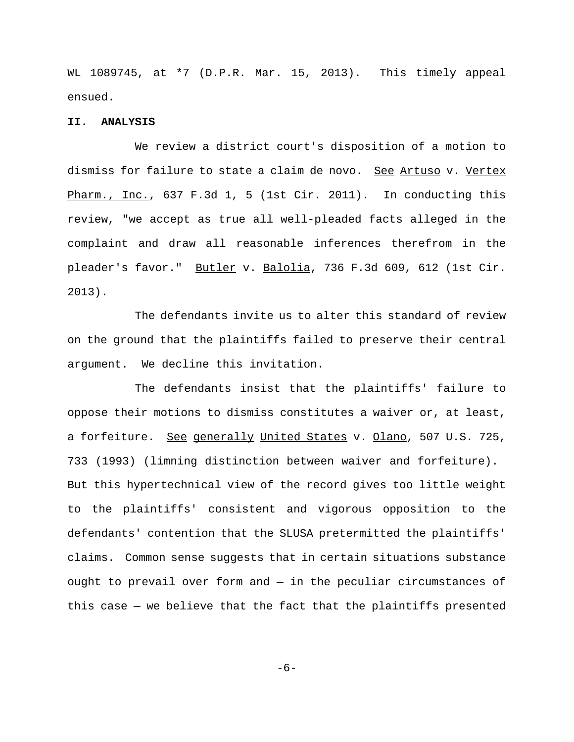WL 1089745, at \*7 (D.P.R. Mar. 15, 2013). This timely appeal ensued.

#### **II. ANALYSIS**

We review a district court's disposition of a motion to dismiss for failure to state a claim de novo. See Artuso v. Vertex Pharm., Inc., 637 F.3d 1, 5 (1st Cir. 2011). In conducting this review, "we accept as true all well-pleaded facts alleged in the complaint and draw all reasonable inferences therefrom in the pleader's favor." Butler v. Balolia, 736 F.3d 609, 612 (1st Cir. 2013).

The defendants invite us to alter this standard of review on the ground that the plaintiffs failed to preserve their central argument. We decline this invitation.

The defendants insist that the plaintiffs' failure to oppose their motions to dismiss constitutes a waiver or, at least, a forfeiture. See generally United States v. Olano, 507 U.S. 725, 733 (1993) (limning distinction between waiver and forfeiture). But this hypertechnical view of the record gives too little weight to the plaintiffs' consistent and vigorous opposition to the defendants' contention that the SLUSA pretermitted the plaintiffs' claims. Common sense suggests that in certain situations substance ought to prevail over form and — in the peculiar circumstances of this case — we believe that the fact that the plaintiffs presented

-6-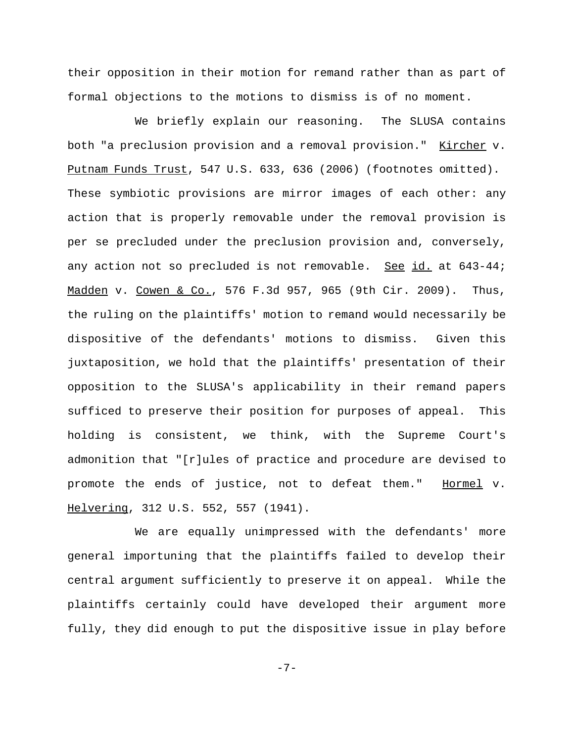their opposition in their motion for remand rather than as part of formal objections to the motions to dismiss is of no moment.

We briefly explain our reasoning. The SLUSA contains both "a preclusion provision and a removal provision." Kircher v. Putnam Funds Trust, 547 U.S. 633, 636 (2006) (footnotes omitted). These symbiotic provisions are mirror images of each other: any action that is properly removable under the removal provision is per se precluded under the preclusion provision and, conversely, any action not so precluded is not removable. See id. at 643-44; Madden v. Cowen & Co., 576 F.3d 957, 965 (9th Cir. 2009). Thus, the ruling on the plaintiffs' motion to remand would necessarily be dispositive of the defendants' motions to dismiss. Given this juxtaposition, we hold that the plaintiffs' presentation of their opposition to the SLUSA's applicability in their remand papers sufficed to preserve their position for purposes of appeal. This holding is consistent, we think, with the Supreme Court's admonition that "[r]ules of practice and procedure are devised to promote the ends of justice, not to defeat them." Hormel v. Helvering, 312 U.S. 552, 557 (1941).

We are equally unimpressed with the defendants' more general importuning that the plaintiffs failed to develop their central argument sufficiently to preserve it on appeal. While the plaintiffs certainly could have developed their argument more fully, they did enough to put the dispositive issue in play before

-7-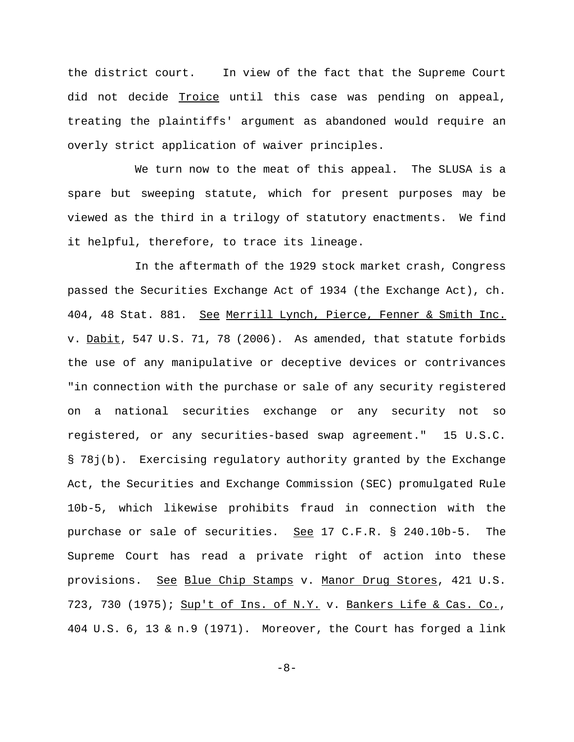the district court. In view of the fact that the Supreme Court did not decide Troice until this case was pending on appeal, treating the plaintiffs' argument as abandoned would require an overly strict application of waiver principles.

We turn now to the meat of this appeal. The SLUSA is a spare but sweeping statute, which for present purposes may be viewed as the third in a trilogy of statutory enactments. We find it helpful, therefore, to trace its lineage.

In the aftermath of the 1929 stock market crash, Congress passed the Securities Exchange Act of 1934 (the Exchange Act), ch. 404, 48 Stat. 881. See Merrill Lynch, Pierce, Fenner & Smith Inc. v. Dabit, 547 U.S. 71, 78 (2006). As amended, that statute forbids the use of any manipulative or deceptive devices or contrivances "in connection with the purchase or sale of any security registered on a national securities exchange or any security not so registered, or any securities-based swap agreement." 15 U.S.C. § 78j(b). Exercising regulatory authority granted by the Exchange Act, the Securities and Exchange Commission (SEC) promulgated Rule 10b-5, which likewise prohibits fraud in connection with the purchase or sale of securities. See 17 C.F.R. § 240.10b-5. The Supreme Court has read a private right of action into these provisions. See Blue Chip Stamps v. Manor Drug Stores, 421 U.S. 723, 730 (1975); Sup't of Ins. of N.Y. v. Bankers Life & Cas. Co., 404 U.S. 6, 13 & n.9 (1971). Moreover, the Court has forged a link

-8-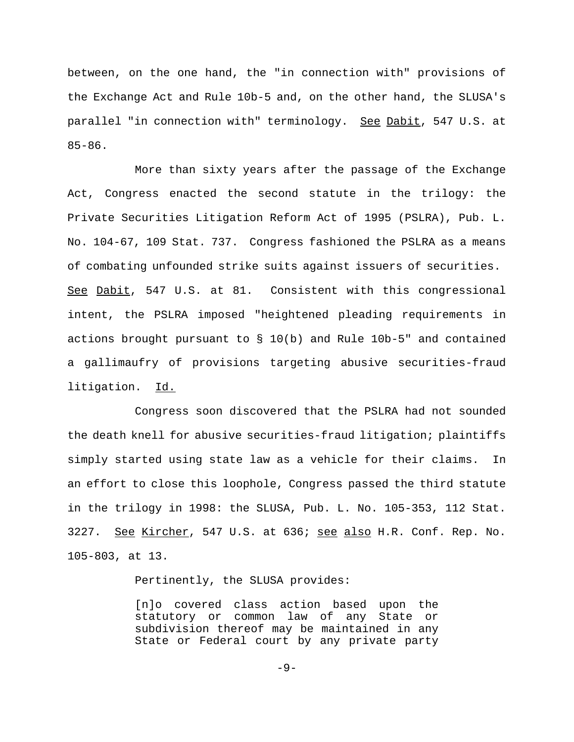between, on the one hand, the "in connection with" provisions of the Exchange Act and Rule 10b-5 and, on the other hand, the SLUSA's parallel "in connection with" terminology. See Dabit, 547 U.S. at 85-86.

More than sixty years after the passage of the Exchange Act, Congress enacted the second statute in the trilogy: the Private Securities Litigation Reform Act of 1995 (PSLRA), Pub. L. No. 104-67, 109 Stat. 737. Congress fashioned the PSLRA as a means of combating unfounded strike suits against issuers of securities. See Dabit, 547 U.S. at 81. Consistent with this congressional intent, the PSLRA imposed "heightened pleading requirements in actions brought pursuant to  $\S$  10(b) and Rule 10b-5" and contained a gallimaufry of provisions targeting abusive securities-fraud litigation. Id.

Congress soon discovered that the PSLRA had not sounded the death knell for abusive securities-fraud litigation; plaintiffs simply started using state law as a vehicle for their claims. In an effort to close this loophole, Congress passed the third statute in the trilogy in 1998: the SLUSA, Pub. L. No. 105-353, 112 Stat. 3227. See Kircher, 547 U.S. at 636; see also H.R. Conf. Rep. No. 105-803, at 13.

Pertinently, the SLUSA provides:

[n]o covered class action based upon the statutory or common law of any State or subdivision thereof may be maintained in any State or Federal court by any private party

-9-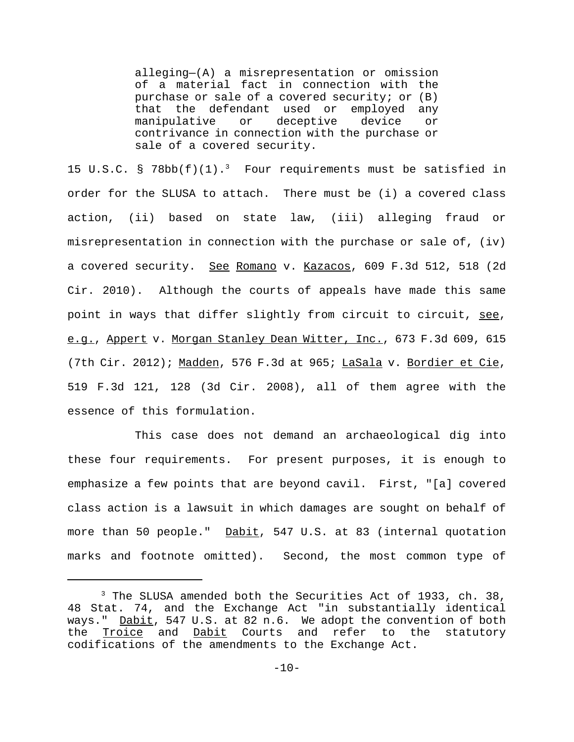alleging—(A) a misrepresentation or omission of a material fact in connection with the purchase or sale of a covered security; or (B) that the defendant used or employed any manipulative or deceptive device or contrivance in connection with the purchase or sale of a covered security.

15 U.S.C. § 78bb $(f)(1)$ .<sup>3</sup> Four requirements must be satisfied in order for the SLUSA to attach. There must be (i) a covered class action, (ii) based on state law, (iii) alleging fraud or misrepresentation in connection with the purchase or sale of, (iv) a covered security. See Romano v. Kazacos, 609 F.3d 512, 518 (2d Cir. 2010). Although the courts of appeals have made this same point in ways that differ slightly from circuit to circuit, see, e.g., Appert v. Morgan Stanley Dean Witter, Inc., 673 F.3d 609, 615 (7th Cir. 2012); Madden, 576 F.3d at 965; LaSala v. Bordier et Cie, 519 F.3d 121, 128 (3d Cir. 2008), all of them agree with the essence of this formulation.

This case does not demand an archaeological dig into these four requirements. For present purposes, it is enough to emphasize a few points that are beyond cavil. First, "[a] covered class action is a lawsuit in which damages are sought on behalf of more than 50 people." Dabit, 547 U.S. at 83 (internal quotation marks and footnote omitted). Second, the most common type of

<sup>&</sup>lt;sup>3</sup> The SLUSA amended both the Securities Act of 1933, ch. 38, 48 Stat. 74, and the Exchange Act "in substantially identical ways." Dabit, 547 U.S. at 82 n.6. We adopt the convention of both the Troice and Dabit Courts and refer to the statutory codifications of the amendments to the Exchange Act.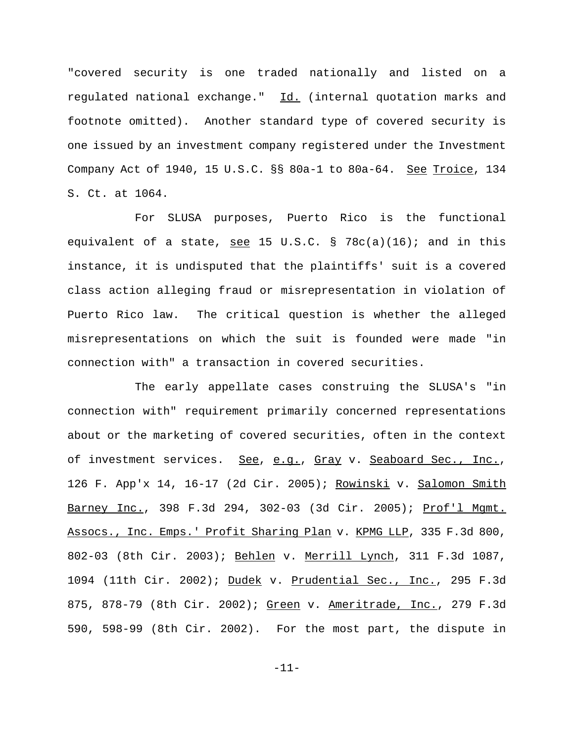"covered security is one traded nationally and listed on a regulated national exchange." Id. (internal quotation marks and footnote omitted). Another standard type of covered security is one issued by an investment company registered under the Investment Company Act of 1940, 15 U.S.C. §§ 80a-1 to 80a-64. See Troice, 134 S. Ct. at 1064.

For SLUSA purposes, Puerto Rico is the functional equivalent of a state, see 15 U.S.C. § 78c(a)(16); and in this instance, it is undisputed that the plaintiffs' suit is a covered class action alleging fraud or misrepresentation in violation of Puerto Rico law. The critical question is whether the alleged misrepresentations on which the suit is founded were made "in connection with" a transaction in covered securities.

The early appellate cases construing the SLUSA's "in connection with" requirement primarily concerned representations about or the marketing of covered securities, often in the context of investment services. See, e.g., Gray v. Seaboard Sec., Inc., 126 F. App'x 14, 16-17 (2d Cir. 2005); Rowinski v. Salomon Smith Barney Inc., 398 F.3d 294, 302-03 (3d Cir. 2005); Prof'l Mgmt. Assocs., Inc. Emps.' Profit Sharing Plan v. KPMG LLP, 335 F.3d 800, 802-03 (8th Cir. 2003); Behlen v. Merrill Lynch, 311 F.3d 1087, 1094 (11th Cir. 2002); Dudek v. Prudential Sec., Inc., 295 F.3d 875, 878-79 (8th Cir. 2002); Green v. Ameritrade, Inc., 279 F.3d 590, 598-99 (8th Cir. 2002). For the most part, the dispute in

-11-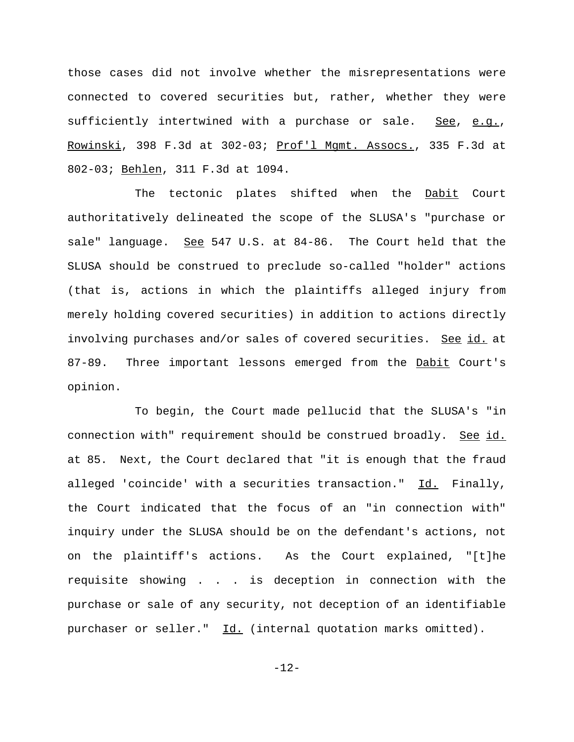those cases did not involve whether the misrepresentations were connected to covered securities but, rather, whether they were sufficiently intertwined with a purchase or sale. See, e.g., Rowinski, 398 F.3d at 302-03; Prof'l Mgmt. Assocs., 335 F.3d at 802-03; Behlen, 311 F.3d at 1094.

The tectonic plates shifted when the Dabit Court authoritatively delineated the scope of the SLUSA's "purchase or sale" language. See 547 U.S. at 84-86. The Court held that the SLUSA should be construed to preclude so-called "holder" actions (that is, actions in which the plaintiffs alleged injury from merely holding covered securities) in addition to actions directly involving purchases and/or sales of covered securities. See id. at 87-89. Three important lessons emerged from the Dabit Court's opinion.

To begin, the Court made pellucid that the SLUSA's "in connection with" requirement should be construed broadly. See id. at 85. Next, the Court declared that "it is enough that the fraud alleged 'coincide' with a securities transaction." Id. Finally, the Court indicated that the focus of an "in connection with" inquiry under the SLUSA should be on the defendant's actions, not on the plaintiff's actions. As the Court explained, "[t]he requisite showing . . . is deception in connection with the purchase or sale of any security, not deception of an identifiable purchaser or seller." Id. (internal quotation marks omitted).

-12-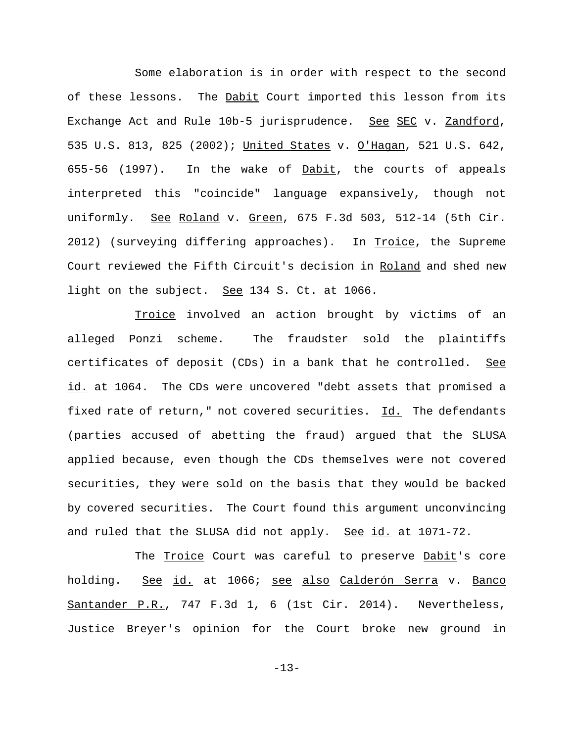Some elaboration is in order with respect to the second of these lessons. The Dabit Court imported this lesson from its Exchange Act and Rule 10b-5 jurisprudence. See SEC v. Zandford, 535 U.S. 813, 825 (2002); United States v. O'Hagan, 521 U.S. 642, 655-56 (1997). In the wake of Dabit, the courts of appeals interpreted this "coincide" language expansively, though not uniformly. See Roland v. Green, 675 F.3d 503, 512-14 (5th Cir. 2012) (surveying differing approaches). In Troice, the Supreme Court reviewed the Fifth Circuit's decision in Roland and shed new light on the subject. See 134 S. Ct. at 1066.

Troice involved an action brought by victims of an alleged Ponzi scheme. The fraudster sold the plaintiffs certificates of deposit (CDs) in a bank that he controlled. See id. at 1064. The CDs were uncovered "debt assets that promised a fixed rate of return," not covered securities. Id. The defendants (parties accused of abetting the fraud) argued that the SLUSA applied because, even though the CDs themselves were not covered securities, they were sold on the basis that they would be backed by covered securities. The Court found this argument unconvincing and ruled that the SLUSA did not apply. See id. at 1071-72.

The Troice Court was careful to preserve Dabit's core holding. See id. at 1066; see also Calderón Serra v. Banco Santander P.R., 747 F.3d 1, 6 (1st Cir. 2014). Nevertheless, Justice Breyer's opinion for the Court broke new ground in

-13-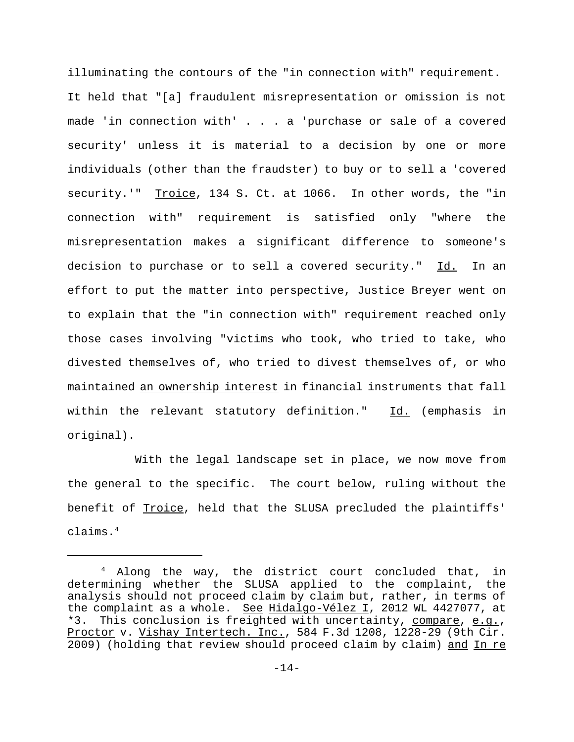illuminating the contours of the "in connection with" requirement. It held that "[a] fraudulent misrepresentation or omission is not made 'in connection with' . . . a 'purchase or sale of a covered security' unless it is material to a decision by one or more individuals (other than the fraudster) to buy or to sell a 'covered security.'" Troice, 134 S. Ct. at 1066. In other words, the "in connection with" requirement is satisfied only "where the misrepresentation makes a significant difference to someone's decision to purchase or to sell a covered security." Id. In an effort to put the matter into perspective, Justice Breyer went on to explain that the "in connection with" requirement reached only those cases involving "victims who took, who tried to take, who divested themselves of, who tried to divest themselves of, or who maintained an ownership interest in financial instruments that fall within the relevant statutory definition." Id. (emphasis in original).

With the legal landscape set in place, we now move from the general to the specific. The court below, ruling without the benefit of Troice, held that the SLUSA precluded the plaintiffs' claims.4

<sup>4</sup> Along the way, the district court concluded that, in determining whether the SLUSA applied to the complaint, the analysis should not proceed claim by claim but, rather, in terms of the complaint as a whole. See Hidalgo-Vélez I, 2012 WL 4427077, at \*3. This conclusion is freighted with uncertainty, compare, e.g., Proctor v. Vishay Intertech. Inc., 584 F.3d 1208, 1228-29 (9th Cir. 2009) (holding that review should proceed claim by claim) and In re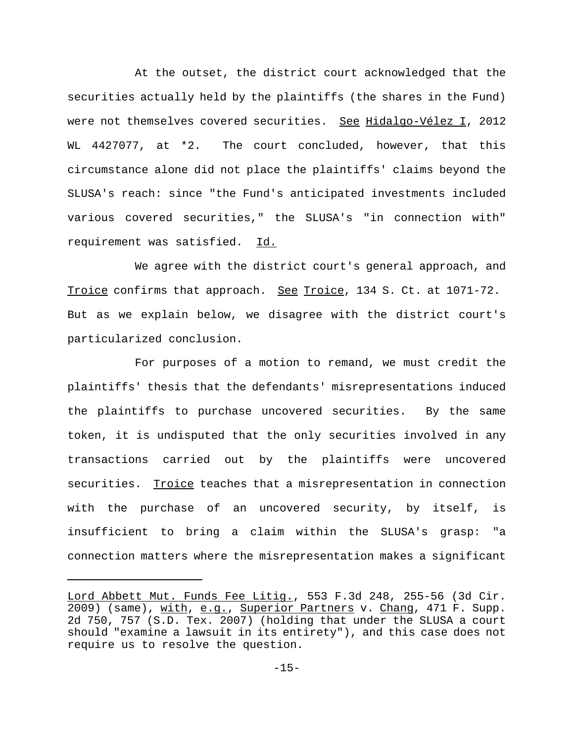At the outset, the district court acknowledged that the securities actually held by the plaintiffs (the shares in the Fund) were not themselves covered securities. See Hidalgo-Vélez I, 2012 WL 4427077, at \*2. The court concluded, however, that this circumstance alone did not place the plaintiffs' claims beyond the SLUSA's reach: since "the Fund's anticipated investments included various covered securities," the SLUSA's "in connection with" requirement was satisfied. Id.

We agree with the district court's general approach, and Troice confirms that approach. See Troice, 134 S. Ct. at 1071-72. But as we explain below, we disagree with the district court's particularized conclusion.

For purposes of a motion to remand, we must credit the plaintiffs' thesis that the defendants' misrepresentations induced the plaintiffs to purchase uncovered securities. By the same token, it is undisputed that the only securities involved in any transactions carried out by the plaintiffs were uncovered securities. Troice teaches that a misrepresentation in connection with the purchase of an uncovered security, by itself, is insufficient to bring a claim within the SLUSA's grasp: "a connection matters where the misrepresentation makes a significant

Lord Abbett Mut. Funds Fee Litig., 553 F.3d 248, 255-56 (3d Cir. 2009) (same), with, e.g., Superior Partners v. Chang, 471 F. Supp. 2d 750, 757 (S.D. Tex. 2007) (holding that under the SLUSA a court should "examine a lawsuit in its entirety"), and this case does not require us to resolve the question.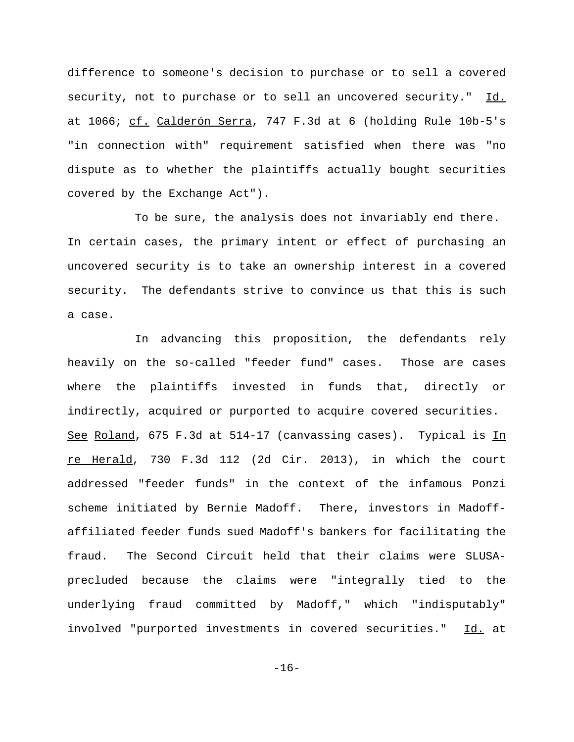difference to someone's decision to purchase or to sell a covered security, not to purchase or to sell an uncovered security." Id. at 1066; cf. Calderón Serra, 747 F.3d at 6 (holding Rule 10b-5's "in connection with" requirement satisfied when there was "no dispute as to whether the plaintiffs actually bought securities covered by the Exchange Act").

To be sure, the analysis does not invariably end there. In certain cases, the primary intent or effect of purchasing an uncovered security is to take an ownership interest in a covered security. The defendants strive to convince us that this is such a case.

In advancing this proposition, the defendants rely heavily on the so-called "feeder fund" cases. Those are cases where the plaintiffs invested in funds that, directly or indirectly, acquired or purported to acquire covered securities. See Roland, 675 F.3d at 514-17 (canvassing cases). Typical is In re Herald, 730 F.3d 112 (2d Cir. 2013), in which the court addressed "feeder funds" in the context of the infamous Ponzi scheme initiated by Bernie Madoff. There, investors in Madoffaffiliated feeder funds sued Madoff's bankers for facilitating the fraud. The Second Circuit held that their claims were SLUSAprecluded because the claims were "integrally tied to the underlying fraud committed by Madoff," which "indisputably" involved "purported investments in covered securities." Id. at

-16-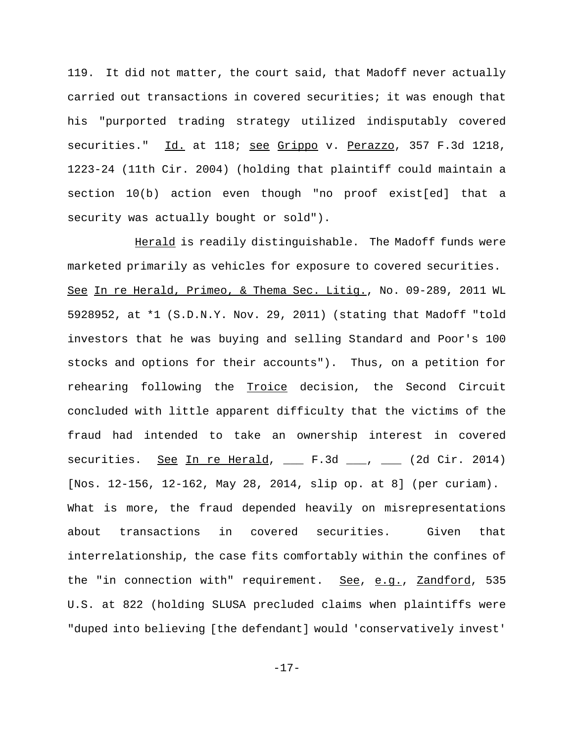119. It did not matter, the court said, that Madoff never actually carried out transactions in covered securities; it was enough that his "purported trading strategy utilized indisputably covered securities." Id. at 118; see Grippo v. Perazzo, 357 F.3d 1218, 1223-24 (11th Cir. 2004) (holding that plaintiff could maintain a section 10(b) action even though "no proof exist[ed] that a security was actually bought or sold").

Herald is readily distinguishable. The Madoff funds were marketed primarily as vehicles for exposure to covered securities. See In re Herald, Primeo, & Thema Sec. Litig., No. 09-289, 2011 WL 5928952, at \*1 (S.D.N.Y. Nov. 29, 2011) (stating that Madoff "told investors that he was buying and selling Standard and Poor's 100 stocks and options for their accounts"). Thus, on a petition for rehearing following the Troice decision, the Second Circuit concluded with little apparent difficulty that the victims of the fraud had intended to take an ownership interest in covered securities. See In re Herald, \_\_ F.3d \_\_, \_\_ (2d Cir. 2014) [Nos. 12-156, 12-162, May 28, 2014, slip op. at 8] (per curiam). What is more, the fraud depended heavily on misrepresentations about transactions in covered securities. Given that interrelationship, the case fits comfortably within the confines of the "in connection with" requirement. See, e.g., Zandford, 535 U.S. at 822 (holding SLUSA precluded claims when plaintiffs were "duped into believing [the defendant] would 'conservatively invest'

-17-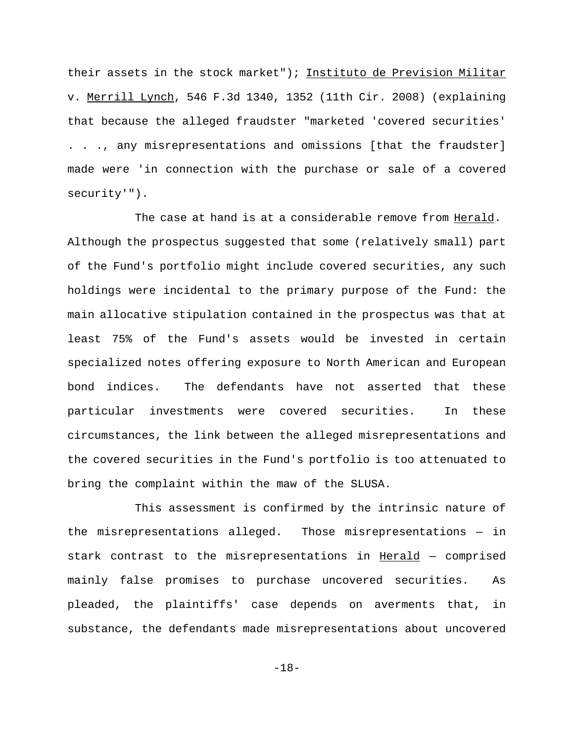their assets in the stock market"); Instituto de Prevision Militar v. Merrill Lynch, 546 F.3d 1340, 1352 (11th Cir. 2008) (explaining that because the alleged fraudster "marketed 'covered securities' . . ., any misrepresentations and omissions [that the fraudster] made were 'in connection with the purchase or sale of a covered security'").

The case at hand is at a considerable remove from Herald. Although the prospectus suggested that some (relatively small) part of the Fund's portfolio might include covered securities, any such holdings were incidental to the primary purpose of the Fund: the main allocative stipulation contained in the prospectus was that at least 75% of the Fund's assets would be invested in certain specialized notes offering exposure to North American and European bond indices. The defendants have not asserted that these particular investments were covered securities. In these circumstances, the link between the alleged misrepresentations and the covered securities in the Fund's portfolio is too attenuated to bring the complaint within the maw of the SLUSA.

This assessment is confirmed by the intrinsic nature of the misrepresentations alleged. Those misrepresentations — in stark contrast to the misrepresentations in Herald - comprised mainly false promises to purchase uncovered securities. As pleaded, the plaintiffs' case depends on averments that, in substance, the defendants made misrepresentations about uncovered

-18-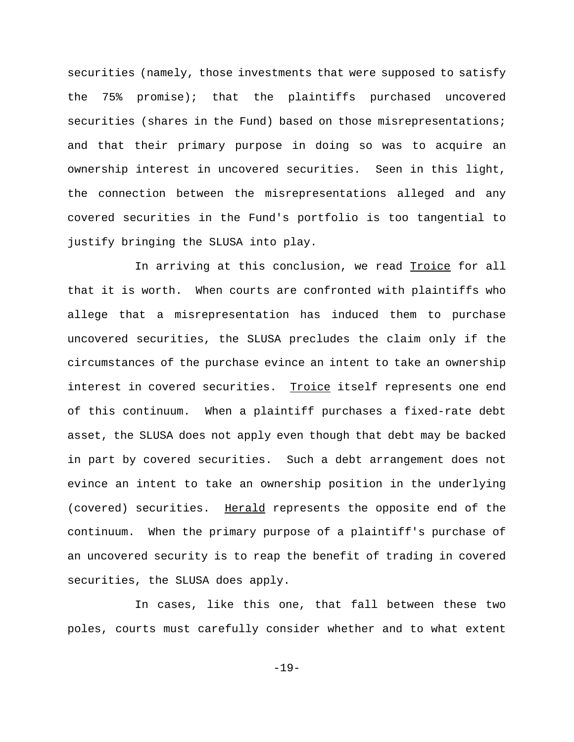securities (namely, those investments that were supposed to satisfy the 75% promise); that the plaintiffs purchased uncovered securities (shares in the Fund) based on those misrepresentations; and that their primary purpose in doing so was to acquire an ownership interest in uncovered securities. Seen in this light, the connection between the misrepresentations alleged and any covered securities in the Fund's portfolio is too tangential to justify bringing the SLUSA into play.

In arriving at this conclusion, we read Troice for all that it is worth. When courts are confronted with plaintiffs who allege that a misrepresentation has induced them to purchase uncovered securities, the SLUSA precludes the claim only if the circumstances of the purchase evince an intent to take an ownership interest in covered securities. Troice itself represents one end of this continuum. When a plaintiff purchases a fixed-rate debt asset, the SLUSA does not apply even though that debt may be backed in part by covered securities. Such a debt arrangement does not evince an intent to take an ownership position in the underlying (covered) securities. Herald represents the opposite end of the continuum. When the primary purpose of a plaintiff's purchase of an uncovered security is to reap the benefit of trading in covered securities, the SLUSA does apply.

In cases, like this one, that fall between these two poles, courts must carefully consider whether and to what extent

-19-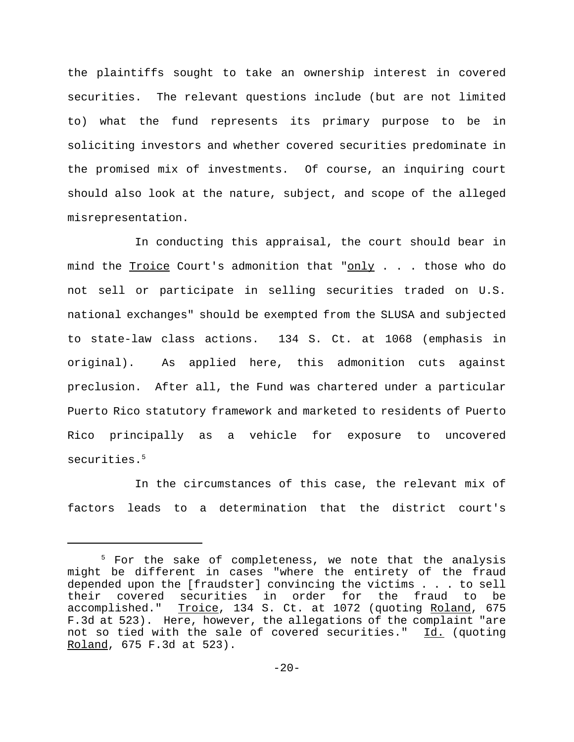the plaintiffs sought to take an ownership interest in covered securities. The relevant questions include (but are not limited to) what the fund represents its primary purpose to be in soliciting investors and whether covered securities predominate in the promised mix of investments. Of course, an inquiring court should also look at the nature, subject, and scope of the alleged misrepresentation.

In conducting this appraisal, the court should bear in mind the Troice Court's admonition that "only . . . those who do not sell or participate in selling securities traded on U.S. national exchanges" should be exempted from the SLUSA and subjected to state-law class actions. 134 S. Ct. at 1068 (emphasis in original). As applied here, this admonition cuts against preclusion. After all, the Fund was chartered under a particular Puerto Rico statutory framework and marketed to residents of Puerto Rico principally as a vehicle for exposure to uncovered securities.<sup>5</sup>

In the circumstances of this case, the relevant mix of factors leads to a determination that the district court's

 $5$  For the sake of completeness, we note that the analysis might be different in cases "where the entirety of the fraud depended upon the [fraudster] convincing the victims . . . to sell their covered securities in order for the fraud to be accomplished." Troice, 134 S. Ct. at 1072 (quoting Roland, 675 F.3d at 523). Here, however, the allegations of the complaint "are not so tied with the sale of covered securities." Id. (quoting Roland, 675 F.3d at 523).